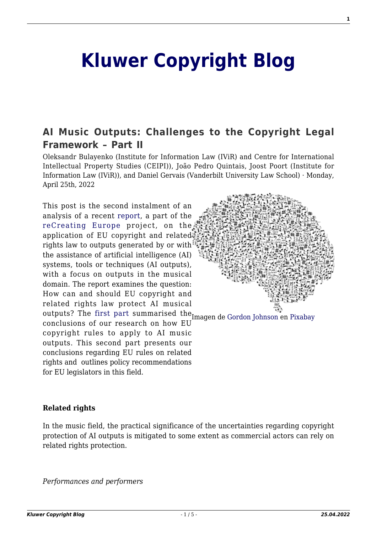# **[Kluwer Copyright Blog](http://copyrightblog.kluweriplaw.com/)**

# **[AI Music Outputs: Challenges to the Copyright Legal](http://copyrightblog.kluweriplaw.com/2022/04/25/ai-music-outputs-challenges-to-the-copyright-legal-framework-part-ii/) [Framework – Part II](http://copyrightblog.kluweriplaw.com/2022/04/25/ai-music-outputs-challenges-to-the-copyright-legal-framework-part-ii/)**

Oleksandr Bulayenko (Institute for Information Law (IViR) and Centre for International Intellectual Property Studies (CEIPI)), João Pedro Quintais, Joost Poort (Institute for Information Law (IViR)), and Daniel Gervais (Vanderbilt University Law School) · Monday, April 25th, 2022

outputs? The first part summarised the Imagen de [Gordon Johnson](https://pixabay.com/es/users/gdj-1086657/?utm_source=link-attribution&utm_medium=referral&utm_campaign=image&utm_content=3244110) en [Pixabay](https://pixabay.com/es/?utm_source=link-attribution&utm_medium=referral&utm_campaign=image&utm_content=3244110) This post is the second instalment of an analysis of a recent [report,](https://zenodo.org/record/6405796#.YkrgFTWxU1J) a part of the [reCreating Europe](https://www.recreating.eu/) project, on the application of EU copyright and related rights law to outputs generated by or with the assistance of artificial intelligence (AI) systems, tools or techniques (AI outputs), with a focus on outputs in the musical domain. The report examines the question: How can and should EU copyright and related rights law protect AI musical conclusions of our research on how EU copyright rules to apply to AI music outputs. This second part presents our conclusions regarding EU rules on related rights and outlines policy recommendations for EU legislators in this field.

#### **Related rights**

In the music field, the practical significance of the uncertainties regarding copyright protection of AI outputs is mitigated to some extent as commercial actors can rely on related rights protection.

*Performances and performers*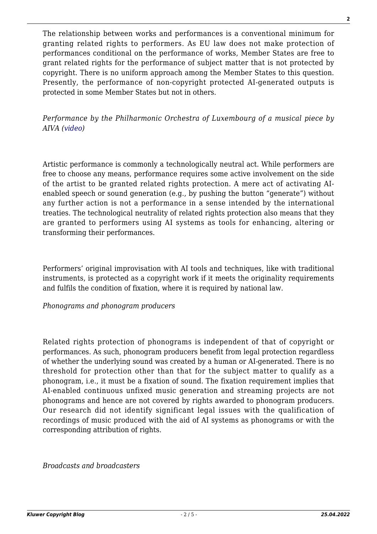The relationship between works and performances is a conventional minimum for granting related rights to performers. As EU law does not make protection of performances conditional on the performance of works, Member States are free to grant related rights for the performance of subject matter that is not protected by copyright. There is no uniform approach among the Member States to this question. Presently, the performance of non-copyright protected AI-generated outputs is protected in some Member States but not in others.

*Performance by the Philharmonic Orchestra of Luxembourg of a musical piece by AIVA ([video\)](https://www.youtube.com/watch?v=H6Z2n7BhMPY)*

Artistic performance is commonly a technologically neutral act. While performers are free to choose any means, performance requires some active involvement on the side of the artist to be granted related rights protection. A mere act of activating AIenabled speech or sound generation (e.g., by pushing the button "generate") without any further action is not a performance in a sense intended by the international treaties. The technological neutrality of related rights protection also means that they are granted to performers using AI systems as tools for enhancing, altering or transforming their performances.

Performers' original improvisation with AI tools and techniques, like with traditional instruments, is protected as a copyright work if it meets the originality requirements and fulfils the condition of fixation, where it is required by national law.

*Phonograms and phonogram producers*

Related rights protection of phonograms is independent of that of copyright or performances. As such, phonogram producers benefit from legal protection regardless of whether the underlying sound was created by a human or AI-generated. There is no threshold for protection other than that for the subject matter to qualify as a phonogram, i.e., it must be a fixation of sound. The fixation requirement implies that AI-enabled continuous unfixed music generation and streaming projects are not phonograms and hence are not covered by rights awarded to phonogram producers. Our research did not identify significant legal issues with the qualification of recordings of music produced with the aid of AI systems as phonograms or with the corresponding attribution of rights.

*Broadcasts and broadcasters*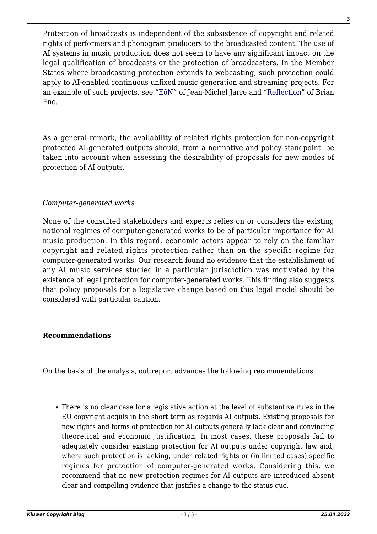Protection of broadcasts is independent of the subsistence of copyright and related rights of performers and phonogram producers to the broadcasted content. The use of AI systems in music production does not seem to have any significant impact on the legal qualification of broadcasts or the protection of broadcasters. In the Member States where broadcasting protection extends to webcasting, such protection could apply to AI-enabled continuous unfixed music generation and streaming projects. For an example of such projects, see "[EōN"](https://jeanmicheljarre.com/eon) of Jean-Michel Jarre and "[Reflection](https://brian-eno.net/reflection/index.html)" of Brian Eno.

As a general remark, the availability of related rights protection for non-copyright protected AI-generated outputs should, from a normative and policy standpoint, be taken into account when assessing the desirability of proposals for new modes of protection of AI outputs.

## *Computer-generated works*

None of the consulted stakeholders and experts relies on or considers the existing national regimes of computer-generated works to be of particular importance for AI music production. In this regard, economic actors appear to rely on the familiar copyright and related rights protection rather than on the specific regime for computer-generated works. Our research found no evidence that the establishment of any AI music services studied in a particular jurisdiction was motivated by the existence of legal protection for computer-generated works. This finding also suggests that policy proposals for a legislative change based on this legal model should be considered with particular caution.

## **Recommendations**

On the basis of the analysis, out report advances the following recommendations.

There is no clear case for a legislative action at the level of substantive rules in the EU copyright acquis in the short term as regards AI outputs. Existing proposals for new rights and forms of protection for AI outputs generally lack clear and convincing theoretical and economic justification. In most cases, these proposals fail to adequately consider existing protection for AI outputs under copyright law and, where such protection is lacking, under related rights or (in limited cases) specific regimes for protection of computer-generated works. Considering this, we recommend that no new protection regimes for AI outputs are introduced absent clear and compelling evidence that justifies a change to the status quo.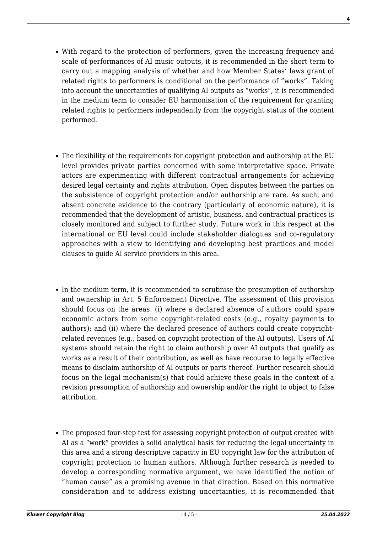- With regard to the protection of performers, given the increasing frequency and scale of performances of AI music outputs, it is recommended in the short term to carry out a mapping analysis of whether and how Member States' laws grant of related rights to performers is conditional on the performance of "works". Taking into account the uncertainties of qualifying AI outputs as "works", it is recommended in the medium term to consider EU harmonisation of the requirement for granting related rights to performers independently from the copyright status of the content performed.
- The flexibility of the requirements for copyright protection and authorship at the EU level provides private parties concerned with some interpretative space. Private actors are experimenting with different contractual arrangements for achieving desired legal certainty and rights attribution. Open disputes between the parties on the subsistence of copyright protection and/or authorship are rare. As such, and absent concrete evidence to the contrary (particularly of economic nature), it is recommended that the development of artistic, business, and contractual practices is closely monitored and subject to further study. Future work in this respect at the international or EU level could include stakeholder dialogues and co-regulatory approaches with a view to identifying and developing best practices and model clauses to guide AI service providers in this area.
- In the medium term, it is recommended to scrutinise the presumption of authorship and ownership in Art. 5 Enforcement Directive. The assessment of this provision should focus on the areas: (i) where a declared absence of authors could spare economic actors from some copyright-related costs (e.g., royalty payments to authors); and (ii) where the declared presence of authors could create copyrightrelated revenues (e.g., based on copyright protection of the AI outputs). Users of AI systems should retain the right to claim authorship over AI outputs that qualify as works as a result of their contribution, as well as have recourse to legally effective means to disclaim authorship of AI outputs or parts thereof. Further research should focus on the legal mechanism(s) that could achieve these goals in the context of a revision presumption of authorship and ownership and/or the right to object to false attribution.
- The proposed four-step test for assessing copyright protection of output created with AI as a "work" provides a solid analytical basis for reducing the legal uncertainty in this area and a strong descriptive capacity in EU copyright law for the attribution of copyright protection to human authors. Although further research is needed to develop a corresponding normative argument, we have identified the notion of "human cause" as a promising avenue in that direction. Based on this normative consideration and to address existing uncertainties, it is recommended that